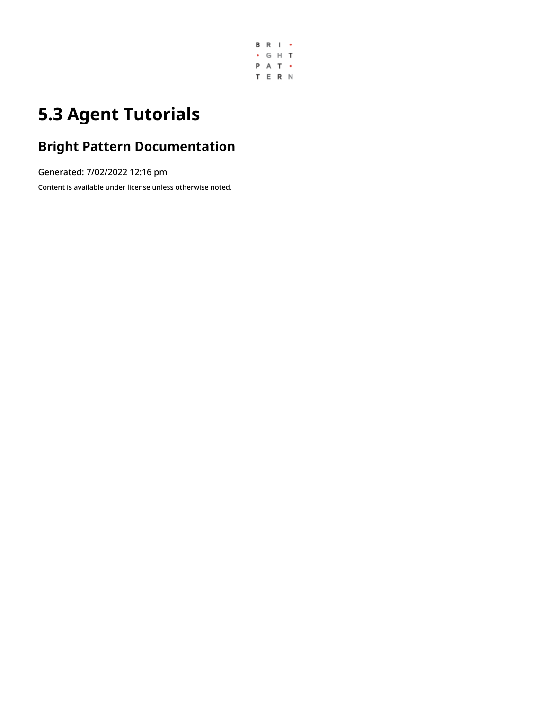

# **5.3 Agent Tutorials**

# **Bright Pattern Documentation**

Generated: 7/02/2022 12:16 pm

Content is available under license unless otherwise noted.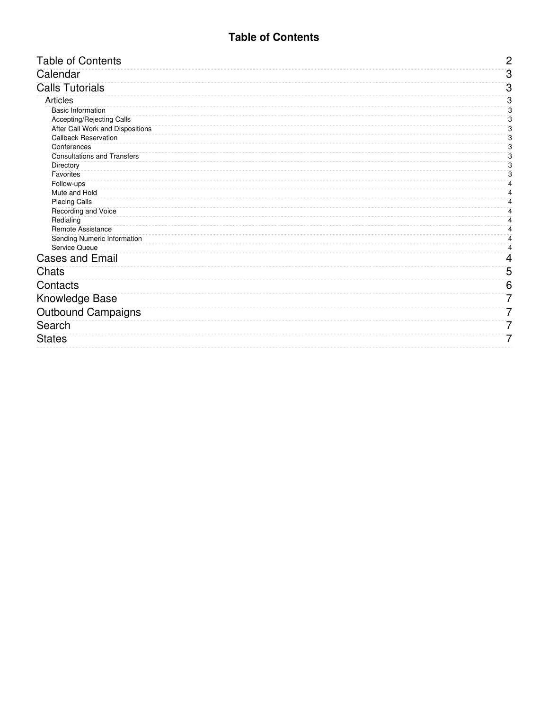# **Table of Contents**

<span id="page-1-0"></span>

| <b>Table of Contents</b>           | $\mathbf{2}$   |
|------------------------------------|----------------|
| Calendar                           | $\overline{3}$ |
| <b>Calls Tutorials</b>             | $\overline{3}$ |
| Articles                           | 3              |
| <b>Basic Information</b>           | 3              |
| <b>Accepting/Rejecting Calls</b>   | 3              |
| After Call Work and Dispositions   | 3              |
| <b>Callback Reservation</b>        | 3              |
| Conferences                        | 3              |
| <b>Consultations and Transfers</b> | 3              |
| Directory                          | 3              |
| Favorites                          | 3              |
| Follow-ups                         | 4              |
| Mute and Hold                      | 4              |
| <b>Placing Calls</b>               | 4              |
| Recording and Voice                | 4              |
| Redialing                          | 4              |
| <b>Remote Assistance</b>           | 4              |
| Sending Numeric Information        | 4              |
| <b>Service Queue</b>               | 4              |
| <b>Cases and Email</b>             | 4              |
| Chats                              | 5              |
| Contacts                           | 6              |
| <b>Knowledge Base</b>              | 7              |
| <b>Outbound Campaigns</b>          | 7              |
| Search                             | 7              |
| <b>States</b>                      | 7              |
|                                    |                |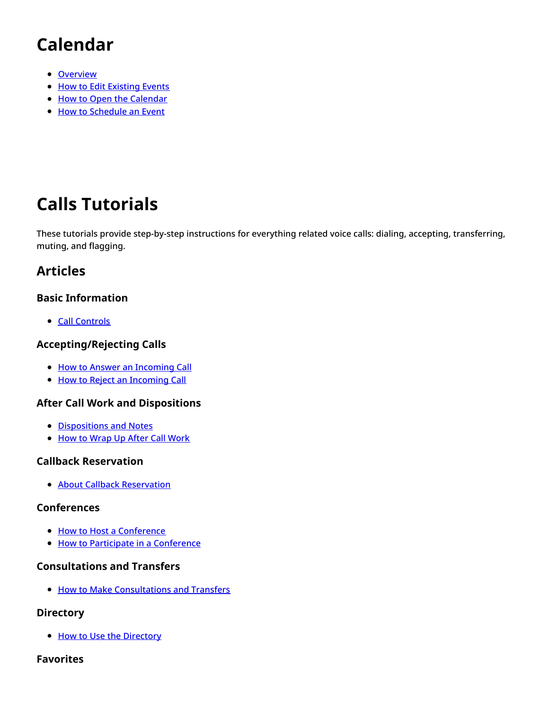# <span id="page-2-0"></span>**Calendar**

- [Overview](https://help.brightpattern.com/5.3:Agent-guide/Tutorials/Overview/?action=html-localimages-export#topic_agent-guide.2Ftutorials.2Fcalendar.2Foverview)
- How to Edit [Existing](https://help.brightpattern.com/5.3:Agent-guide/Tutorials/Overview/?action=html-localimages-export#topic_agent-guide.2Ftutorials.2Fcalendar.2Fhowtoeditexistingevents) Events
- How to Open the [Calendar](https://help.brightpattern.com/5.3:Agent-guide/Tutorials/Overview/?action=html-localimages-export#topic_agent-guide.2Ftutorials.2Fcalendar.2Fhowtoopenthecalendar)
- How to [Schedule](https://help.brightpattern.com/5.3:Agent-guide/Tutorials/Overview/?action=html-localimages-export#topic_agent-guide.2Ftutorials.2Fcalendar.2Fhowtoscheduleanevent) an Event

# <span id="page-2-1"></span>**Calls Tutorials**

These tutorials provide step-by-step instructions for everything related voice calls: dialing, accepting, transferring, muting, and flagging.

# <span id="page-2-2"></span>**Articles**

# <span id="page-2-3"></span>**Basic Information**

• Call [Controls](https://help.brightpattern.com/5.3:Agent-guide/Tutorials/Overview/?action=html-localimages-export#topic_agent-guide.2Ftutorials.2Fcalls.2Fcontrols)

# <span id="page-2-4"></span>**Accepting/Rejecting Calls**

- How to Answer an [Incoming](https://help.brightpattern.com/5.3:Agent-guide/Tutorials/Overview/?action=html-localimages-export#topic_agent-guide.2Ftutorials.2Fcalls.2Fhowtoansweranincomingcall) Call
- How to Reject an [Incoming](https://help.brightpattern.com/5.3:Agent-guide/Tutorials/Overview/?action=html-localimages-export#topic_agent-guide.2Ftutorials.2Fcalls.2Fhowtorejectanincomingcall) Call

## <span id="page-2-5"></span>**After Call Work and Dispositions**

- [Dispositions](https://help.brightpattern.com/5.3:Agent-guide/Tutorials/Overview/?action=html-localimages-export#topic_agent-guide.2Ftutorials.2Fcalls.2Fhowtoenterdispositionsandnotes) and Notes
- How to [Wrap](https://help.brightpattern.com/5.3:Agent-guide/Tutorials/Overview/?action=html-localimages-export#topic_agent-guide.2Ftutorials.2Fcalls.2Fhowtowrapupafter-callwork) Up After Call Work

## <span id="page-2-6"></span>**Callback Reservation**

**• About Callback [Reservation](https://help.brightpattern.com/5.3:Agent-guide/Tutorials/Overview/?action=html-localimages-export#topic_agent-guide.2Ftutorials.2Fcalls.2Faboutcallbackreservation)** 

#### <span id="page-2-7"></span>**Conferences**

- How to Host a [Conference](https://help.brightpattern.com/5.3:Agent-guide/Tutorials/Overview/?action=html-localimages-export#topic_agent-guide.2Ftutorials.2Fcalls.2Fhowtohostaconference)
- How to Participate in a [Conference](https://help.brightpattern.com/5.3:Agent-guide/Tutorials/Overview/?action=html-localimages-export#topic_agent-guide.2Ftutorials.2Fcalls.2Fhowtoparticipateinaconference)

## <span id="page-2-8"></span>**Consultations and Transfers**

• How to Make [Consultations](https://help.brightpattern.com/5.3:Agent-guide/Tutorials/Overview/?action=html-localimages-export#topic_agent-guide.2Ftutorials.2Fcalls.2Fconsultationsandtransfers) and Transfers

#### <span id="page-2-9"></span>**Directory**

• How to Use the [Directory](https://help.brightpattern.com/5.3:Agent-guide/Tutorials/Overview/?action=html-localimages-export#topic_agent-guide.2Ftutorials.2Fcalls.2Fhowtousethedirectory)

#### <span id="page-2-10"></span>**Favorites**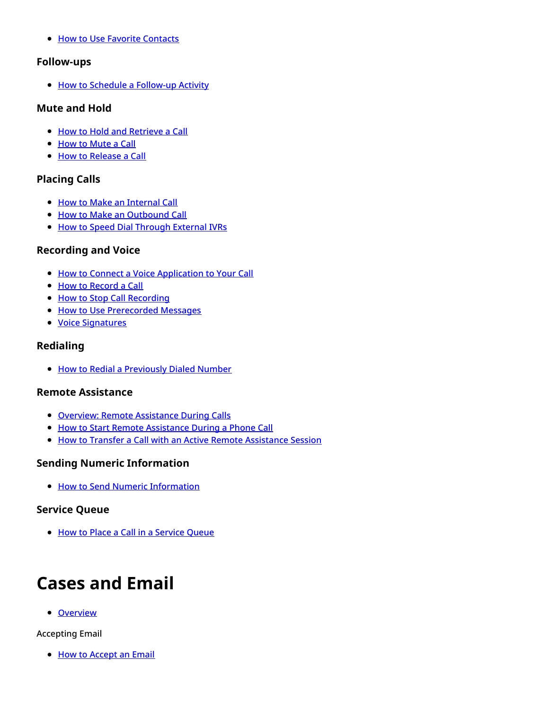• How to Use Favorite [Contacts](https://help.brightpattern.com/5.3:Agent-guide/Tutorials/Overview/?action=html-localimages-export#topic_agent-guide.2Ftutorials.2Fcalls.2Fhowtousefavoritecontacts)

### <span id="page-3-0"></span>**Follow-ups**

● How to Schedule a [Follow-up](https://help.brightpattern.com/5.3:Agent-guide/Tutorials/Overview/?action=html-localimages-export#topic_agent-guide.2Ftutorials.2Fcalls.2Fhowtoscheduleafollow-upactivity) Activity

### <span id="page-3-1"></span>**Mute and Hold**

- How to Hold and [Retrieve](https://help.brightpattern.com/5.3:Agent-guide/Tutorials/Overview/?action=html-localimages-export#topic_agent-guide.2Ftutorials.2Fcalls.2Fhowtoholdandretrieveacall) a Call
- How to [Mute](https://help.brightpattern.com/5.3:Agent-guide/Tutorials/Overview/?action=html-localimages-export#topic_agent-guide.2Ftutorials.2Fcalls.2Fhowtomuteacall) a Call
- How to [Release](https://help.brightpattern.com/5.3:Agent-guide/Tutorials/Overview/?action=html-localimages-export#topic_agent-guide.2Ftutorials.2Fcalls.2Fhowtoreleaseacall) a Call

## <span id="page-3-2"></span>**Placing Calls**

- How to Make an [Internal](https://help.brightpattern.com/5.3:Agent-guide/Tutorials/Overview/?action=html-localimages-export#topic_agent-guide.2Ftutorials.2Fcalls.2Fhowtomakeaninternalcall) Call
- How to Make an [Outbound](https://help.brightpattern.com/5.3:Agent-guide/Tutorials/Overview/?action=html-localimages-export#topic_agent-guide.2Ftutorials.2Fcalls.2Fhowtomakeanoutboundcall) Call
- How to Speed Dial [Through](https://help.brightpattern.com/5.3:Agent-guide/Tutorials/Overview/?action=html-localimages-export#topic_agent-guide.2Ftutorials.2Fcalls.2Fhowtospeeddialthroughexternalivrs) External IVRs

## <span id="page-3-3"></span>**Recording and Voice**

- How to Connect a Voice [Application](https://help.brightpattern.com/5.3:Agent-guide/Tutorials/Overview/?action=html-localimages-export#topic_agent-guide.2Ftutorials.2Fcalls.2Fhowtoconnectavoiceapplicationtoyourcall) to Your Call
- How to [Record](https://help.brightpattern.com/5.3:Agent-guide/Tutorials/Overview/?action=html-localimages-export#topic_agent-guide.2Ftutorials.2Fcalls.2Fhowtorecordacall) a Call
- How to Stop Call [Recording](https://help.brightpattern.com/5.3:Agent-guide/Tutorials/Overview/?action=html-localimages-export#topic_agent-guide.2Ftutorials.2Fcalls.2Fhowtostoporpausecallrecording)
- **.** How to Use [Prerecorded](https://help.brightpattern.com/5.3:Agent-guide/Tutorials/Overview/?action=html-localimages-export#topic_agent-guide.2Ftutorials.2Fcalls.2Fhowtousepre-recordedmessages) Messages
- Voice [Signatures](https://help.brightpattern.com/5.3:Agent-guide/Tutorials/Overview/?action=html-localimages-export#topic_agent-guide.2Ftutorials.2Fcalls.2Fhowtocollectavoicesignature)

## <span id="page-3-4"></span>**Redialing**

• How to Redial a [Previously](https://help.brightpattern.com/5.3:Agent-guide/Tutorials/Overview/?action=html-localimages-export#topic_agent-guide.2Ftutorials.2Fcalls.2Fhowtoredialapreviouslydialednumber) Dialed Number

## <span id="page-3-5"></span>**Remote Assistance**

- **Overview: Remote [Assistance](https://help.brightpattern.com/5.3:Agent-guide/Tutorials/Overview/?action=html-localimages-export#topic_agent-guide.2Ftutorials.2Fcalls.2Fremoteassistance) During Calls**
- How to Start Remote [Assistance](https://help.brightpattern.com/5.3:Agent-guide/Tutorials/Overview/?action=html-localimages-export#topic_agent-guide.2Ftutorials.2Fcalls.2Finitiateremoteassistancecall) During a Phone Call
- How to Transfer a Call with an Active Remote [Assistance](https://help.brightpattern.com/5.3:Agent-guide/Tutorials/Overview/?action=html-localimages-export#topic_agent-guide.2Ftutorials.2Fcalls.2Ftransfercallwithremoteassistance) Session

## <span id="page-3-6"></span>**Sending Numeric Information**

• How to Send Numeric [Information](https://help.brightpattern.com/5.3:Agent-guide/Tutorials/Overview/?action=html-localimages-export#topic_agent-guide.2Ftutorials.2Fcalls.2Fhowtosendnumericinformation)

## <span id="page-3-7"></span>**Service Queue**

**• How to Place a Call in a [Service](https://help.brightpattern.com/5.3:Agent-guide/Tutorials/Overview/?action=html-localimages-export#topic_agent-guide.2Ftutorials.2Fcalls.2Fhowtoplaceacallinaservicequeue) Queue** 

# <span id="page-3-8"></span>**Cases and Email**

• [Overview](https://help.brightpattern.com/5.3:Agent-guide/Tutorials/Overview/?action=html-localimages-export#topic_agent-guide.2Ftutorials.2Fcases.2Foverview)

#### Accepting Email

• How to [Accept](https://help.brightpattern.com/5.3:Agent-guide/Tutorials/Overview/?action=html-localimages-export#topic_agent-guide.2Ftutorials.2Fcases.2Fhowtoacceptanemail) an Email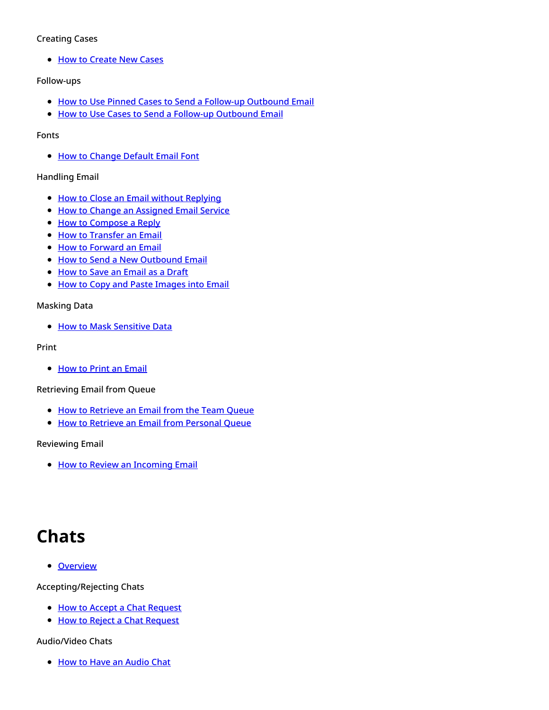#### Creating Cases

• How to [Create](https://help.brightpattern.com/5.3:Agent-guide/Tutorials/Overview/?action=html-localimages-export#topic_agent-guide.2Ftutorials.2Fcases.2Fhowtocreatenewcases) New Cases

#### Follow-ups

- How to Use Pinned Cases to Send a Follow-up [Outbound](https://help.brightpattern.com/5.3:Agent-guide/Tutorials/Overview/?action=html-localimages-export#topic_agent-guide.2Ftutorials.2Fcases.2Fhowtousepinnedcasestosendafollow-upoutboundemail) Email
- How to Use Cases to Send a Follow-up [Outbound](https://help.brightpattern.com/5.3:Agent-guide/Tutorials/Overview/?action=html-localimages-export#topic_agent-guide.2Ftutorials.2Fcases.2Fhowtosendafollow-upoutboundemail) Email

#### Fonts

• How to [Change](https://help.brightpattern.com/5.3:Agent-guide/Tutorials/Overview/?action=html-localimages-export#topic_agent-guide.2Ftutorials.2Fcases.2Fhowtochangedefaultemailfont) Default Email Font

#### Handling Email

- How to Close an Email without [Replying](https://help.brightpattern.com/5.3:Agent-guide/Tutorials/Overview/?action=html-localimages-export#topic_agent-guide.2Ftutorials.2Fcases.2Fhowtocloseanemailwithoutreplying)
- How to Change an [Assigned](https://help.brightpattern.com/5.3:Agent-guide/Tutorials/Overview/?action=html-localimages-export#topic_agent-guide.2Ftutorials.2Fcases.2Fhowtochangeanassignedemailservice) Email Service
- How to [Compose](https://help.brightpattern.com/5.3:Agent-guide/Tutorials/Overview/?action=html-localimages-export#topic_agent-guide.2Ftutorials.2Fcases.2Fhowtocomposeareply) a Reply
- How to [Transfer](https://help.brightpattern.com/5.3:Agent-guide/Tutorials/Overview/?action=html-localimages-export#topic_agent-guide.2Ftutorials.2Fcases.2Fhowtotransferanemail) an Email
- **.** How to [Forward](https://help.brightpattern.com/5.3:Agent-guide/Tutorials/Overview/?action=html-localimages-export#topic_agent-guide.2Ftutorials.2Fcases.2Fhowtoforwardanemail) an Email
- How to Send a New [Outbound](https://help.brightpattern.com/5.3:Agent-guide/Tutorials/Overview/?action=html-localimages-export#topic_agent-guide.2Ftutorials.2Fcases.2Fhowtosendanewoutboundemail) Email
- How to Save an [Email](https://help.brightpattern.com/5.3:Agent-guide/Tutorials/Overview/?action=html-localimages-export#topic_agent-guide.2Ftutorials.2Fcases.2Fhowtosaveanemailasadraft) as a Draft
- How to Copy and Paste [Images](https://help.brightpattern.com/5.3:Agent-guide/Tutorials/Overview/?action=html-localimages-export#topic_agent-guide.2Ftutorials.2Fcases.2Fhowtocopyandpasteimagesintoemail) into Email

#### Masking Data

How to Mask [Sensitive](https://help.brightpattern.com/5.3:Agent-guide/Tutorials/Overview/?action=html-localimages-export#topic_agent-guide.2Ftutorials.2Fcases.2Fhowtomasksensitivedata) Data

#### Print

• How to Print an [Email](https://help.brightpattern.com/5.3:Agent-guide/Tutorials/Overview/?action=html-localimages-export#topic_agent-guide.2Ftutorials.2Fcases.2Fhowtoprintanemail)

#### Retrieving Email from Queue

- How to [Retrieve](https://help.brightpattern.com/5.3:Agent-guide/Tutorials/Overview/?action=html-localimages-export#topic_agent-guide.2Ftutorials.2Fcases.2Fhowtoretrieveanemailfromtheteamqueue) an Email from the Team Queue
- How to Retrieve an Email from [Personal](https://help.brightpattern.com/5.3:Agent-guide/Tutorials/Overview/?action=html-localimages-export#topic_agent-guide.2Ftutorials.2Fcases.2Fhowtoretrieveanemailfromyourpersonalqueue) Queue

#### Reviewing Email

• How to Review an [Incoming](https://help.brightpattern.com/5.3:Agent-guide/Tutorials/Overview/?action=html-localimages-export#topic_agent-guide.2Ftutorials.2Fcases.2Fhowtoreviewanincomingemail) Email

# <span id="page-4-0"></span>**Chats**

**•** [Overview](https://help.brightpattern.com/5.3:Agent-guide/Tutorials/Overview/?action=html-localimages-export#topic_agent-guide.2Ftutorials.2Fchat.2Foverview)

Accepting/Rejecting Chats

- How to Accept a Chat [Request](https://help.brightpattern.com/5.3:Agent-guide/Tutorials/Overview/?action=html-localimages-export#topic_agent-guide.2Ftutorials.2Fchat.2Fhowtoacceptachatrequest)
- How to Reject a Chat [Request](https://help.brightpattern.com/5.3:Agent-guide/Tutorials/Overview/?action=html-localimages-export#topic_agent-guide.2Ftutorials.2Fchat.2Fhowtorejectachatrequest)

#### Audio/Video Chats

• How to Have an [Audio](https://help.brightpattern.com/5.3:Agent-guide/Tutorials/Overview/?action=html-localimages-export#topic_agent-guide.2Ftutorials.2Fchat.2Fhowtohaveanaudiochat) Chat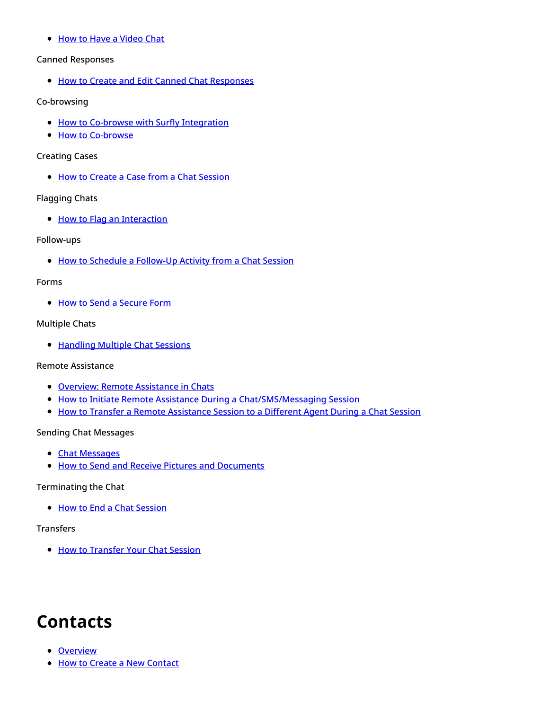• How to Have a [Video](https://help.brightpattern.com/5.3:Agent-guide/Tutorials/Overview/?action=html-localimages-export#topic_agent-guide.2Ftutorials.2Fchat.2Fhowtohaveavideochat) Chat

#### Canned Responses

**.** How to Create and Edit Canned Chat [Responses](https://help.brightpattern.com/5.3:Agent-guide/Tutorials/Overview/?action=html-localimages-export#topic_agent-guide.2Ftutorials.2Fchat.2Fhowtocreateandeditcannedchatresponses)

#### Co-browsing

- How to Co-browse with Surfly [Integration](https://help.brightpattern.com/5.3:Agent-guide/Tutorials/Overview/?action=html-localimages-export#topic_agent-guide.2Ftutorials.2Fchat.2Fsurflyco-browsing)
- How to [Co-browse](https://help.brightpattern.com/5.3:Agent-guide/Tutorials/Overview/?action=html-localimages-export#topic_agent-guide.2Ftutorials.2Fchat.2Fco-browsing)

#### Creating Cases

• How to Create a Case from a Chat [Session](https://help.brightpattern.com/5.3:Agent-guide/Tutorials/Overview/?action=html-localimages-export#topic_agent-guide.2Ftutorials.2Fchat.2Fhowtocreateacasefromachatsession)

#### Flagging Chats

• How to Flag an [Interaction](https://help.brightpattern.com/5.3:Agent-guide/Tutorials/Overview/?action=html-localimages-export#topic_agent-guide.2Ftutorials.2Fchat.2Fhowtoflagachatsession)

#### Follow-ups

• How to Schedule a [Follow-Up](https://help.brightpattern.com/5.3:Agent-guide/Tutorials/Overview/?action=html-localimages-export#topic_agent-guide.2Ftutorials.2Fchat.2Fhowtoscheduleafollow-upactivityfromachatsession) Activity from a Chat Session

#### Forms

• How to Send a [Secure](https://help.brightpattern.com/5.3:Agent-guide/Tutorials/Overview/?action=html-localimages-export#topic_agent-guide.2Ftutorials.2Fchat.2Fhowtosendasecureform) Form

#### Multiple Chats

• [Handling](https://help.brightpattern.com/5.3:Agent-guide/Tutorials/Overview/?action=html-localimages-export#topic_agent-guide.2Ftutorials.2Fchat.2Fhandlingmultiplechatsessions) Multiple Chat Sessions

#### Remote Assistance

- **.** Overview: Remote [Assistance](https://help.brightpattern.com/5.3:Agent-guide/Tutorials/Overview/?action=html-localimages-export#topic_agent-guide.2Ftutorials.2Fchat.2Fremoteassistance) in Chats
- How to Initiate Remote Assistance During a [Chat/SMS/Messaging](https://help.brightpattern.com/5.3:Agent-guide/Tutorials/Overview/?action=html-localimages-export#topic_agent-guide.2Ftutorials.2Fchat.2Finitiateremoteassistanceduringchat) Session
- How to Transfer a Remote [Assistance](https://help.brightpattern.com/5.3:Agent-guide/Tutorials/Overview/?action=html-localimages-export#topic_agent-guide.2Ftutorials.2Fchat.2Ftransferremoteassistanceduringchat) Session to a Different Agent During a Chat Session

#### Sending Chat Messages

- Chat [Messages](https://help.brightpattern.com/5.3:Agent-guide/Tutorials/Overview/?action=html-localimages-export#topic_agent-guide.2Ftutorials.2Fchat.2Fhowtosendchatmessages)
- **.** How to Send and Receive Pictures and [Documents](https://help.brightpattern.com/5.3:Agent-guide/Tutorials/Overview/?action=html-localimages-export#topic_agent-guide.2Ftutorials.2Fchat.2Fhowtosendandreceivepicturesanddocuments)

#### Terminating the Chat

• How to End a Chat [Session](https://help.brightpattern.com/5.3:Agent-guide/Tutorials/Overview/?action=html-localimages-export#topic_agent-guide.2Ftutorials.2Fchat.2Fhowtoendachatsession)

#### **Transfers**

• How to [Transfer](https://help.brightpattern.com/5.3:Agent-guide/Tutorials/Overview/?action=html-localimages-export#topic_agent-guide.2Ftutorials.2Fchat.2Fhowtotransferyourchatsession) Your Chat Session

# <span id="page-5-0"></span>**Contacts**

- [Overview](https://help.brightpattern.com/5.3:Agent-guide/Tutorials/Overview/?action=html-localimages-export#topic_agent-guide.2Ftutorials.2Fcontacts.2Foverview)
- How to Create a New [Contact](https://help.brightpattern.com/5.3:Agent-guide/Tutorials/Overview/?action=html-localimages-export#topic_agent-guide.2Ftutorials.2Fcontacts.2Fhowtocreateanewcontact)